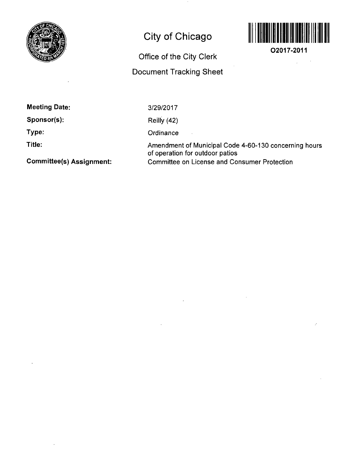

## City of Chicago



**02017-2011** 

Office of the City Clerk

Document Tracking Sheet

| <b>Meeting Date:</b> |  |
|----------------------|--|
|----------------------|--|

Sponsor(s):

Type:

Title:

3/29/2017

Reilly (42)

**Ordinance** 

Amendment of Municipal Code 4-60-130 concerning hours of operation for outdoor patios Committee on License and Consumer Protection

Committee(s) Assignment: